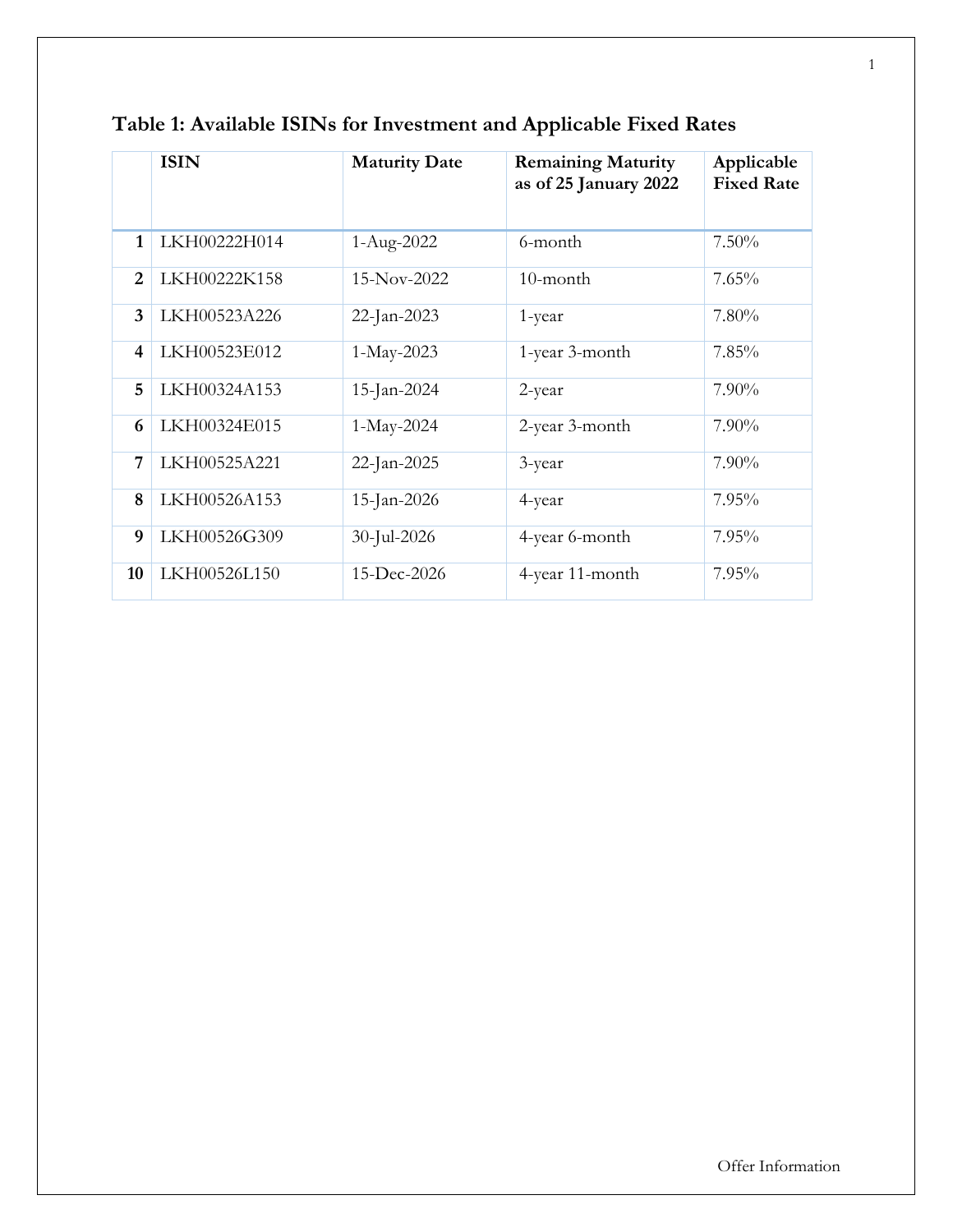|              | <b>ISIN</b>  | <b>Maturity Date</b> | <b>Remaining Maturity</b><br>as of 25 January 2022 | Applicable<br><b>Fixed Rate</b> |
|--------------|--------------|----------------------|----------------------------------------------------|---------------------------------|
| $\mathbf{1}$ | LKH00222H014 | 1-Aug-2022           | 6-month                                            | $7.50\%$                        |
| 2            | LKH00222K158 | $15-Nov-2022$        | $10$ -month                                        | $7.65\%$                        |
| 3            | LKH00523A226 | 22-Jan-2023          | 1-year                                             | $7.80\%$                        |
| 4            | LKH00523E012 | 1-May-2023           | 1-year 3-month                                     | 7.85%                           |
| 5            | LKH00324A153 | 15-Jan-2024          | 2-year                                             | $7.90\%$                        |
| 6            | LKH00324E015 | $1-May-2024$         | 2-year 3-month                                     | $7.90\%$                        |
| 7            | LKH00525A221 | 22-Jan-2025          | 3-year                                             | $7.90\%$                        |
| 8            | LKH00526A153 | $15$ -Jan-2026       | 4-year                                             | $7.95\%$                        |
| 9            | LKH00526G309 | 30-Jul-2026          | 4-year 6-month                                     | 7.95%                           |
| 10           | LKH00526L150 | $15-Dec-2026$        | 4-year 11-month                                    | $7.95\%$                        |

## **Table 1: Available ISINs for Investment and Applicable Fixed Rates**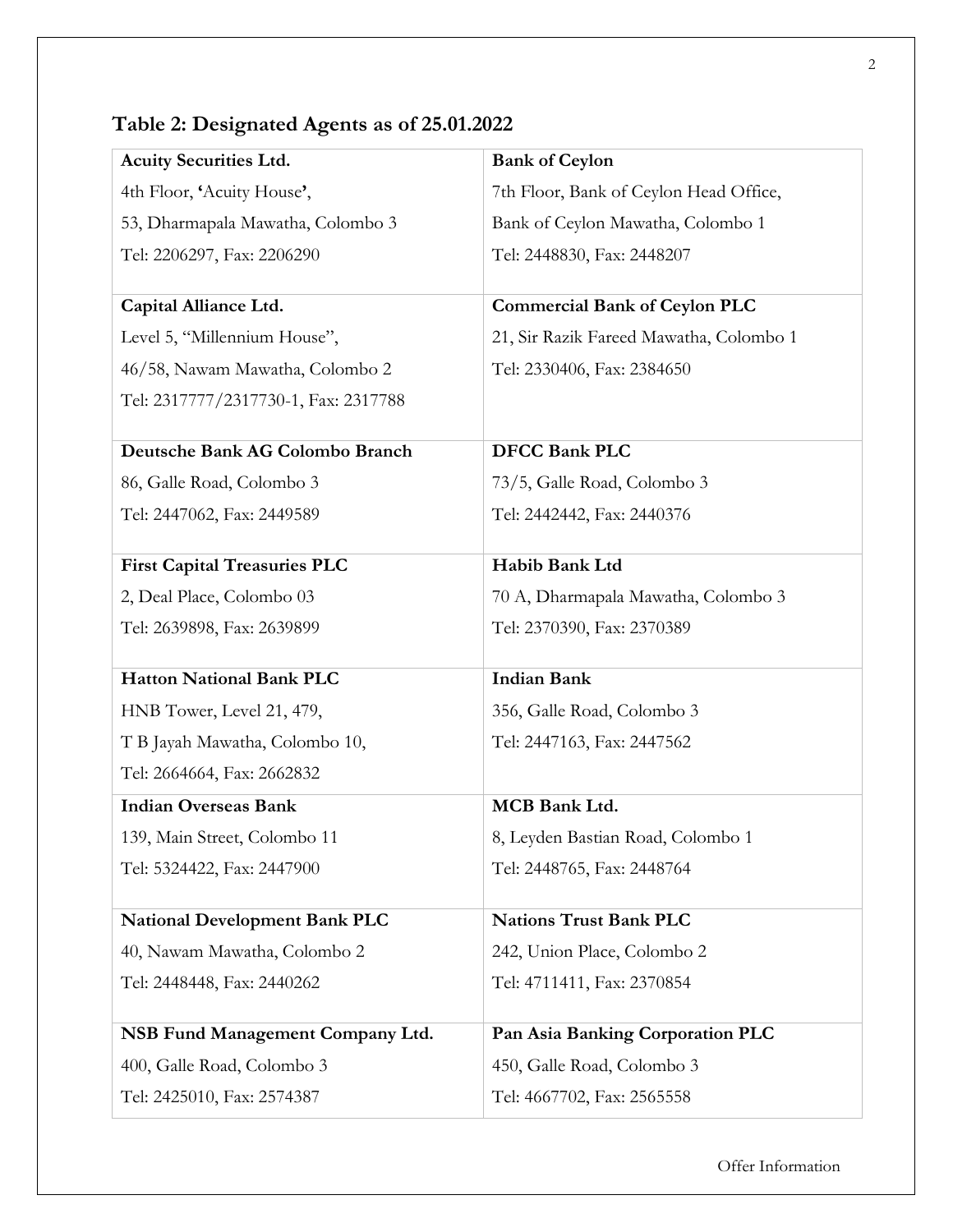## **Table 2: Designated Agents as of 25.01.2022**

| <b>Acuity Securities Ltd.</b>        | <b>Bank of Ceylon</b>                   |
|--------------------------------------|-----------------------------------------|
| 4th Floor, 'Acuity House',           | 7th Floor, Bank of Ceylon Head Office,  |
| 53, Dharmapala Mawatha, Colombo 3    | Bank of Ceylon Mawatha, Colombo 1       |
| Tel: 2206297, Fax: 2206290           | Tel: 2448830, Fax: 2448207              |
|                                      |                                         |
| Capital Alliance Ltd.                | <b>Commercial Bank of Ceylon PLC</b>    |
| Level 5, "Millennium House",         | 21, Sir Razik Fareed Mawatha, Colombo 1 |
| 46/58, Nawam Mawatha, Colombo 2      | Tel: 2330406, Fax: 2384650              |
| Tel: 2317777/2317730-1, Fax: 2317788 |                                         |
| Deutsche Bank AG Colombo Branch      | <b>DFCC Bank PLC</b>                    |
| 86, Galle Road, Colombo 3            | 73/5, Galle Road, Colombo 3             |
| Tel: 2447062, Fax: 2449589           | Tel: 2442442, Fax: 2440376              |
|                                      |                                         |
| <b>First Capital Treasuries PLC</b>  | Habib Bank Ltd                          |
| 2, Deal Place, Colombo 03            | 70 A, Dharmapala Mawatha, Colombo 3     |
| Tel: 2639898, Fax: 2639899           | Tel: 2370390, Fax: 2370389              |
| <b>Hatton National Bank PLC</b>      | <b>Indian Bank</b>                      |
| HNB Tower, Level 21, 479,            | 356, Galle Road, Colombo 3              |
| T B Jayah Mawatha, Colombo 10,       | Tel: 2447163, Fax: 2447562              |
| Tel: 2664664, Fax: 2662832           |                                         |
| <b>Indian Overseas Bank</b>          | MCB Bank Ltd.                           |
| 139, Main Street, Colombo 11         | 8, Leyden Bastian Road, Colombo 1       |
| Tel: 5324422, Fax: 2447900           | Tel: 2448765, Fax: 2448764              |
|                                      |                                         |
| <b>National Development Bank PLC</b> | <b>Nations Trust Bank PLC</b>           |
| 40, Nawam Mawatha, Colombo 2         | 242, Union Place, Colombo 2             |
| Tel: 2448448, Fax: 2440262           | Tel: 4711411, Fax: 2370854              |
| NSB Fund Management Company Ltd.     | Pan Asia Banking Corporation PLC        |
| 400, Galle Road, Colombo 3           | 450, Galle Road, Colombo 3              |
| Tel: 2425010, Fax: 2574387           | Tel: 4667702, Fax: 2565558              |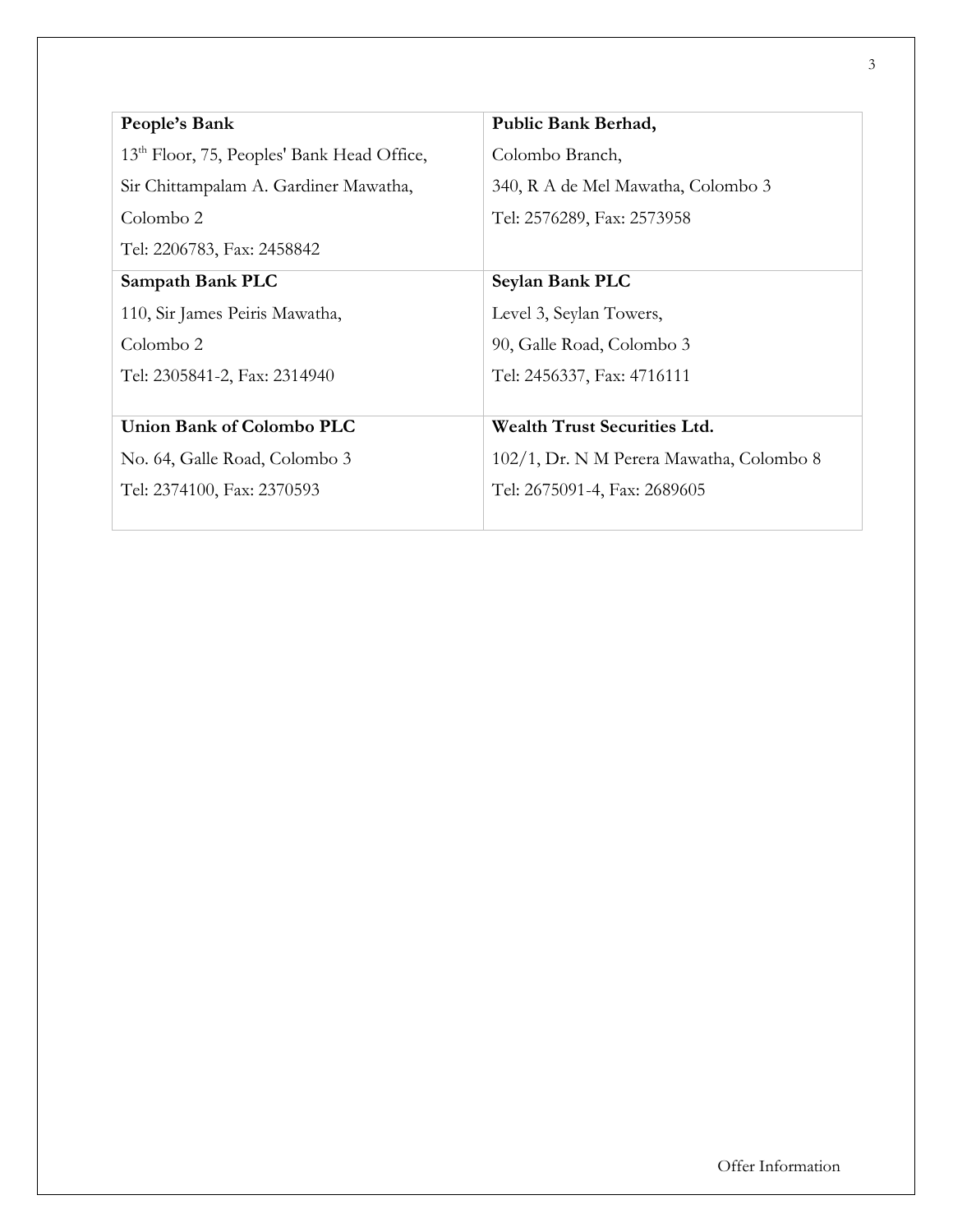| People's Bank                                          | Public Bank Berhad,                      |  |
|--------------------------------------------------------|------------------------------------------|--|
| 13 <sup>th</sup> Floor, 75, Peoples' Bank Head Office, | Colombo Branch,                          |  |
| Sir Chittampalam A. Gardiner Mawatha,                  | 340, R A de Mel Mawatha, Colombo 3       |  |
| Colombo 2                                              | Tel: 2576289, Fax: 2573958               |  |
| Tel: 2206783, Fax: 2458842                             |                                          |  |
| <b>Sampath Bank PLC</b>                                | Seylan Bank PLC                          |  |
| 110, Sir James Peiris Mawatha,                         | Level 3, Seylan Towers,                  |  |
| Colombo 2                                              | 90, Galle Road, Colombo 3                |  |
| Tel: 2305841-2, Fax: 2314940                           | Tel: 2456337, Fax: 4716111               |  |
|                                                        |                                          |  |
| Union Bank of Colombo PLC                              | <b>Wealth Trust Securities Ltd.</b>      |  |
| No. 64, Galle Road, Colombo 3                          | 102/1, Dr. N M Perera Mawatha, Colombo 8 |  |
| Tel: 2374100, Fax: 2370593                             | Tel: 2675091-4, Fax: 2689605             |  |
|                                                        |                                          |  |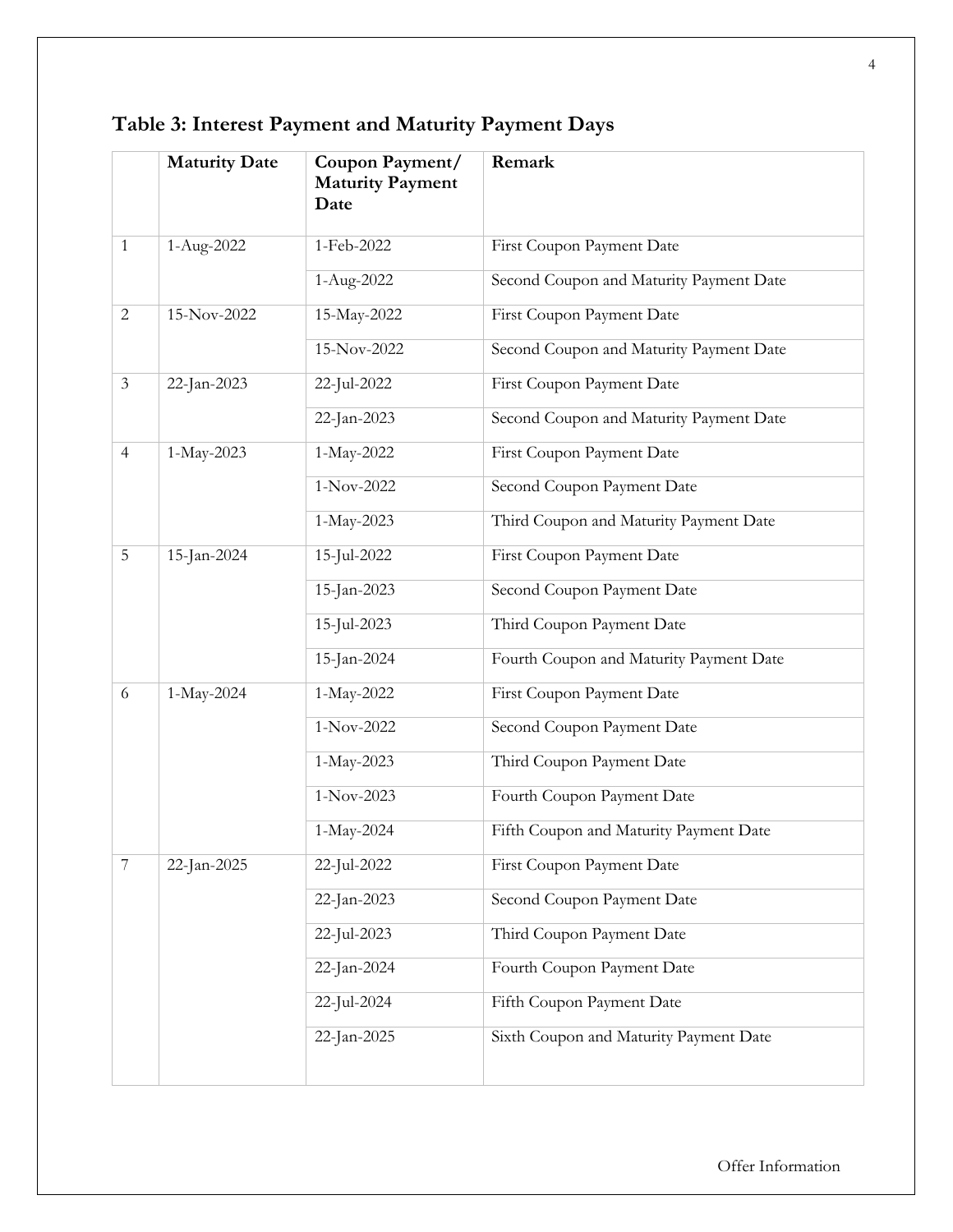|                | <b>Maturity Date</b> | Coupon Payment/<br><b>Maturity Payment</b><br>Date | Remark                                  |
|----------------|----------------------|----------------------------------------------------|-----------------------------------------|
| $\mathbf{1}$   | 1-Aug-2022           | 1-Feb-2022                                         | First Coupon Payment Date               |
|                |                      | 1-Aug-2022                                         | Second Coupon and Maturity Payment Date |
| $\mathbf{2}$   | 15-Nov-2022          | 15-May-2022                                        | First Coupon Payment Date               |
|                |                      | 15-Nov-2022                                        | Second Coupon and Maturity Payment Date |
| $\mathfrak{Z}$ | 22-Jan-2023          | 22-Jul-2022                                        | First Coupon Payment Date               |
|                |                      | 22-Jan-2023                                        | Second Coupon and Maturity Payment Date |
| 4              | 1-May-2023           | 1-May-2022                                         | First Coupon Payment Date               |
|                |                      | 1-Nov-2022                                         | Second Coupon Payment Date              |
|                |                      | 1-May-2023                                         | Third Coupon and Maturity Payment Date  |
| 5              | 15-Jan-2024          | 15-Jul-2022                                        | First Coupon Payment Date               |
|                |                      | 15-Jan-2023                                        | Second Coupon Payment Date              |
|                |                      | 15-Jul-2023                                        | Third Coupon Payment Date               |
|                |                      | 15-Jan-2024                                        | Fourth Coupon and Maturity Payment Date |
| 6              | 1-May-2024           | 1-May-2022                                         | First Coupon Payment Date               |
|                |                      | 1-Nov-2022                                         | Second Coupon Payment Date              |
|                |                      | 1-May-2023                                         | Third Coupon Payment Date               |
|                |                      | 1-Nov-2023                                         | Fourth Coupon Payment Date              |
|                |                      | 1-May-2024                                         | Fifth Coupon and Maturity Payment Date  |
| 7              | 22-Jan-2025          | 22-Jul-2022                                        | First Coupon Payment Date               |
|                |                      | 22-Jan-2023                                        | Second Coupon Payment Date              |
|                |                      | 22-Jul-2023                                        | Third Coupon Payment Date               |
|                |                      | 22-Jan-2024                                        | Fourth Coupon Payment Date              |
|                |                      | 22-Jul-2024                                        | Fifth Coupon Payment Date               |
|                |                      | 22-Jan-2025                                        | Sixth Coupon and Maturity Payment Date  |

## **Table 3: Interest Payment and Maturity Payment Days**

Offer Information